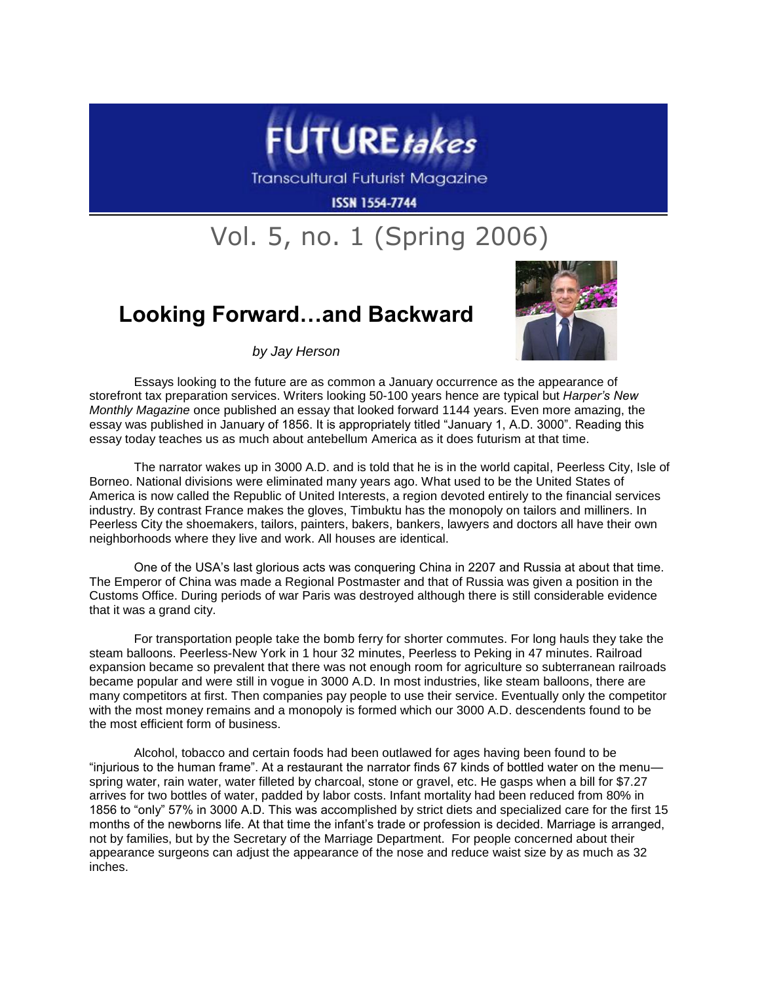

**Transcultural Futurist Magazine** 

**ISSN 1554-7744** 

## Vol. 5, no. 1 (Spring 2006)

## **Looking Forward…and Backward**



*by Jay Herson*

Essays looking to the future are as common a January occurrence as the appearance of storefront tax preparation services. Writers looking 50-100 years hence are typical but *Harper's New Monthly Magazine* once published an essay that looked forward 1144 years. Even more amazing, the essay was published in January of 1856. It is appropriately titled "January 1, A.D. 3000". Reading this essay today teaches us as much about antebellum America as it does futurism at that time.

The narrator wakes up in 3000 A.D. and is told that he is in the world capital, Peerless City, Isle of Borneo. National divisions were eliminated many years ago. What used to be the United States of America is now called the Republic of United Interests, a region devoted entirely to the financial services industry. By contrast France makes the gloves, Timbuktu has the monopoly on tailors and milliners. In Peerless City the shoemakers, tailors, painters, bakers, bankers, lawyers and doctors all have their own neighborhoods where they live and work. All houses are identical.

One of the USA's last glorious acts was conquering China in 2207 and Russia at about that time. The Emperor of China was made a Regional Postmaster and that of Russia was given a position in the Customs Office. During periods of war Paris was destroyed although there is still considerable evidence that it was a grand city.

For transportation people take the bomb ferry for shorter commutes. For long hauls they take the steam balloons. Peerless-New York in 1 hour 32 minutes, Peerless to Peking in 47 minutes. Railroad expansion became so prevalent that there was not enough room for agriculture so subterranean railroads became popular and were still in vogue in 3000 A.D. In most industries, like steam balloons, there are many competitors at first. Then companies pay people to use their service. Eventually only the competitor with the most money remains and a monopoly is formed which our 3000 A.D. descendents found to be the most efficient form of business.

Alcohol, tobacco and certain foods had been outlawed for ages having been found to be "injurious to the human frame". At a restaurant the narrator finds 67 kinds of bottled water on the menu spring water, rain water, water filleted by charcoal, stone or gravel, etc. He gasps when a bill for \$7.27 arrives for two bottles of water, padded by labor costs. Infant mortality had been reduced from 80% in 1856 to "only" 57% in 3000 A.D. This was accomplished by strict diets and specialized care for the first 15 months of the newborns life. At that time the infant's trade or profession is decided. Marriage is arranged, not by families, but by the Secretary of the Marriage Department. For people concerned about their appearance surgeons can adjust the appearance of the nose and reduce waist size by as much as 32 inches.